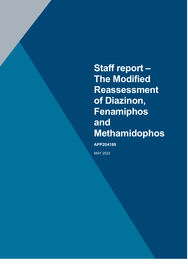**Staff report – The Modified Reassessment of Diazinon, Fenamiphos and Methamidophos**

**APP204199**

MAY 2022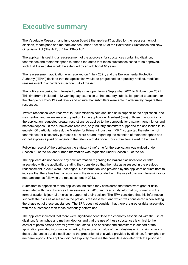## <span id="page-1-0"></span>**Executive summary**

The Vegetable Research and Innovation Board ("the applicant") applied for the reassessment of diazinon, fenamiphos and methamidophos under Section 63 of the Hazardous Substances and New Organisms Act ("the Act", or "the HSNO Act").

The applicant is seeking a reassessment of the approvals for substances containing diazinon, fenamiphos and methamidophos to amend the dates that these substances cease to be approved, such that these dates would be extended by an additional 10 years.

The reassessment application was received on 1 July 2021, and the Environmental Protection Authority ("EPA") decided that the application would be progressed as a publicly notified, modified reassessment in accordance Section 63A of the Act.

The notification period for interested parties was open from 9 September 2021 to 8 November 2021. This timeframe included a 12 working day extension to the statutory submission period to account for the change of Covid-19 alert levels and ensure that submitters were able to adequately prepare their responses.

Twelve responses were received: four submissions self-identified as in support of the application, one was neutral, and seven were in opposition to the application. A subset (two) of those in opposition to the application requested greater restrictions be applied to the approvals for diazinon, fenamiphos and methamidophos. Of the submissions received, only industry submitters supported the application in its entirety. Of particular interest, the Ministry for Primary Industries ("MPI") supported the retention of fenamiphos for biosecurity purposes but were neutral regarding the retention of methamidophos and did not express a position regarding the retention of diazinon. Four submitters asked to be heard.

Following receipt of the application the statutory timeframe for the application was waived under Section 59 of the Act and further information was requested under Section 52 of the Act.

The applicant did not provide any new information regarding the hazard classifications or risks associated with the application, stating they considered that the risks as assessed in the previous reassessment in 2013 were unchanged. No information was provided by the applicant or submitters to indicate that there has been a reduction in the risks associated with the use of diazinon, fenamiphos or methamidophos following the reassessment in 2013.

Submitters in opposition to the application indicated they considered that there were greater risks associated with the substances than assessed in 2013 and cited study information, primarily in the form of academic journal articles, in support of their position. The EPA considers that this information supports the risks as assessed in the previous reassessment and which was considered when setting the phase out of these substances. The EPA does not consider that there are greater risks associated with the substances than those previously determined.

The applicant indicated that there were significant benefits to the economy associated with the use of diazinon, fenamiphos and methamidophos and that the use of these substances is critical to the control of pests across several grower industries. The applicant and submitters in support of the application provided information regarding the economic value of the industries which claim to rely on these substances but did not illustrate the proportion of this value provided by diazinon, fenamiphos or methamidophos. The applicant did not explicitly monetise the benefits associated with the proposed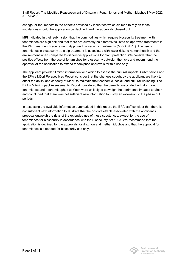Staff Report: The Modified Reassessment of Diazinon, Fenamiphos and Methamidophos | May 2022 | APP204199

change, or the impacts to the benefits provided by industries which claimed to rely on these substances should the application be declined, and the approvals phased out.

MPI indicated in their submission that the commodities which require biosecurity treatment with fenamiphos are high risk and that there are currently no alternatives listed as approved treatments in the MPI Treatment Requirement: Approved Biosecurity Treatments (MPI-ABTRT). The use of fenamiphos in biosecurity as a dip treatment is associated with lower risks to human health and the environment when compared to dispersive applications for plant protection. We consider that the positive effects from the use of fenamiphos for biosecurity outweigh the risks and recommend the approval of the application to extend fenamiphos approvals for this use only.

The applicant provided limited information with which to assess the cultural impacts. Submissions and the EPA's Māori Perspectives Report consider that the changes sought by the applicant are likely to affect the ability and capacity of Māori to maintain their economic, social, and cultural wellbeing. The EPA's Māori Impact Assessments Report considered that the benefits associated with diazinon, fenamiphos and methamidophos to Māori were unlikely to outweigh the detrimental impacts to Māori and concluded that there was not sufficient new information to justify an extension to the phase out periods.

In assessing the available information summarised in this report, the EPA staff consider that there is not sufficient new information to illustrate that the positive effects associated with the applicant's proposal outweigh the risks of the extended use of these substances, except for the use of fenamiphos for biosecurity in accordance with the Biosecurity Act 1993. We recommend that the application is declined for the approvals for diazinon and methamidophos and that the approval for fenamiphos is extended for biosecurity use only.

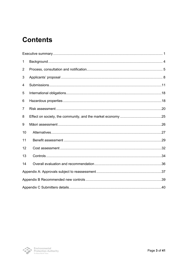# **Contents**

| 1              |  |  |  |  |  |  |
|----------------|--|--|--|--|--|--|
| $\overline{2}$ |  |  |  |  |  |  |
| 3              |  |  |  |  |  |  |
| 4              |  |  |  |  |  |  |
| 5              |  |  |  |  |  |  |
| 6              |  |  |  |  |  |  |
| 7              |  |  |  |  |  |  |
| 8              |  |  |  |  |  |  |
| 9              |  |  |  |  |  |  |
| 10             |  |  |  |  |  |  |
| 11             |  |  |  |  |  |  |
| 12             |  |  |  |  |  |  |
| 13             |  |  |  |  |  |  |
| 14             |  |  |  |  |  |  |
|                |  |  |  |  |  |  |
|                |  |  |  |  |  |  |
|                |  |  |  |  |  |  |

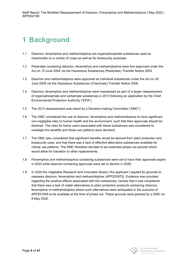# <span id="page-4-0"></span>**1 Background**

- 1.1 Diazinon, fenamiphos and methamidophos are organophosphate substances used as insecticides on a variety of crops as well as for biosecurity purposes.
- 1.2 Pesticides containing diazinon, fenamiphos and methamidophos were first approved under the Act on 15 June 2004 via the Hazardous Substances (Pesticides) Transfer Notice 2004.
- 1.3 Diazinon and methamidophos were approved as individual substances under the Act on 29 June 2006 via the Hazardous Substances (Chemicals) Transfer Notice 2006.
- 1.4 Diazinon, fenamiphos and methamidophos were reassessed as part of a larger reassessment of organophosphate and carbamate substances in 2013 following an application by the Chief Environmental Protection Authority ("EPA").
- 1.5 The 2013 reassessment was heard by a Decision-making Committee ("DMC").
- 1.6 The DMC considered the use of diazinon, fenamiphos and methamidophos to have significant non-negligible risks to human health and the environment, such that their approvals should be declined. The risks for home users associated with these substances was considered to outweigh the benefits and these use patterns were declined.
- 1.7 The DMC also considered that significant benefits would be derived from plant protection and biosecurity uses, and that there was a lack of effective alternative substances available for critical use patterns. The DMC therefore decided to set extended phase out periods which would allow for transition to other replacements.
- 1.8 Fenamiphos and methamidophos containing substances were set to have their approvals expire in 2023 while diazinon containing approvals were set to decline in 2028.
- 1.9 In 2020 the Vegetable Research and Innovation Board ('the applicant') applied for grounds to reassess diazinon, fenamiphos and methamidophos (APP203975). Evidence was provided regarding the positive effects associated with the substances, namely that it was considered that there was a lack of viable alternatives to plant protection products containing diazinon, fenamiphos or methamidophos where such alternatives were anticipated in the outcome of APP201045 to be available at the time of phase out. These grounds were granted by a DMC on 8 May 2020.

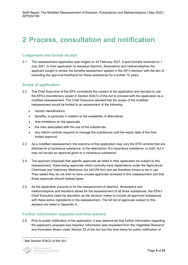## <span id="page-5-0"></span>**2 Process, consultation and notification**

### **Lodgement and formal receipt**

2.1 The reassessment application was lodged on 22 February 2021. It was formally received on 1 July 2021. In their application to reassess diazinon, fenamiphos and methamidophos the applicant sought to review the benefits assessment applied in the 2013 decision with the aim of extending the approval timeframe for these substances for a further 10 years.

### **Scope of application**

- 2.2 The Chief Executive of the EPA considered the content of the application and decided to use the EPA's discretionary power in Section 63A(1) of the Act to proceed with the application as a modified reassessment. The Chief Executive decided that the scope of the modified reassessment would be limited to an assessment of the following:
	- hazard classifications
	- benefits, in particular in relation to the availability of alternatives
	- time limitations on the approvals
	- the risks associated with the use of the substances
	- any interim controls required to manage the substances until the expiry date of the time limited approval.
- 2.3 As a modified reassessment, the outcome of this application may vary the EPA controls that are attached to a hazardous substance, or the description of a hazardous substance, or both; but it may not revoke an approval given to a hazardous substance<sup>[1](#page-5-1)</sup>.
- 2.4 The applicant proposed that specific approvals as listed in their application be subject to this reassessment, these being approvals which currently have registrations under the Agricultural Chemicals and Veterinary Medicines Act (ACVM Act) and are therefore known to be in use. They stated they do not wish to have unused approvals reviewed in this reassessment and that those approvals should instead lapse.
- 2.5 As the application purpose is for the reassessment of diazinon, fenamiphos and methamidophos and therefore allows for the reassessment of all those substances, the EPA's Chief Executive used his discretion as the decision maker to include all approved substances with these active ingredients in the reassessment. The full list of approvals subject to this decision are listed in Appendix A.

### **Further information requests and time waivers**

2.6 Prior to public notification of the application, it was determined that further information regarding the applicant's proposal was required. Information was requested from the Vegetable Research and Innovation Board under Section 52 of the Act and the time frame for public notification of

<span id="page-5-1"></span><sup>&</sup>lt;sup>1</sup> See Section 63A(2) of the Act.

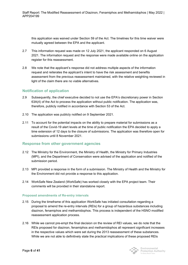this application was waived under Section 59 of the Act. The timelines for this time waiver were mutually agreed between the EPA and the applicant.

- 2.7 This information request was made on 12 July 2021, the applicant responded on 6 August 2021. The information request and the response were made available online on the application register for this reassessment.
- 2.8 We note that the applicant's response did not address multiple aspects of the information request and reiterates the applicant's intent to have the risk assessment and benefits assessment from the previous reassessment maintained, with the relative weighting reviewed in light of the claim there are no viable alternatives.

### **Notification of application**

- 2.9 Subsequently, the chief executive decided to not use the EPA's discretionary power in Section 63A(4) of the Act to process the application without public notification. The application was, therefore, publicly notified in accordance with Section 53 of the Act.
- 2.10 The application was publicly notified on 9 September 2021.
- 2.11 To account for the potential impacts on the ability to prepare material for submissions as a result of the Covid-19 alert levels at the time of public notification the EPA decided to apply a time extension of 12 days to the closure of submissions. The application was therefore open for submissions until 8 November 2021.

### **Response from other government agencies**

- 2.12 The Ministry for the Environment, the Ministry of Health, the Ministry for Primary Industries (MPI), and the Department of Conservation were advised of the application and notified of the submission period.
- 2.13 MPI provided a response in the form of a submission. The Ministry of Health and the Ministry for the Environment did not provide a response to this application.
- 2.14 WorkSafe New Zealand (WorkSafe) has worked closely with the EPA project team. Their comments will be provided in their standalone report.

#### **Proposed amendments of Re-entry intervals**

- 2.15 During the timeframe of this application WorkSafe has initiated consultation regarding a proposal to amend the re-entry intervals (REIs) for a group of hazardous substances including diazinon, fenamiphos and methamidophos. This process is independent of the HSNO modified reassessment application process.
- 2.16 While we cannot pre-empt the final decision on the review of REI values, we do note that the REIs proposed for diazinon, fenamiphos and methamidophos all represent significant increases in the respective values which were set during the 2013 reassessment of these substances. While we are not able to definitively state the practical implications of these proposed REIs



Environmental Protection Authority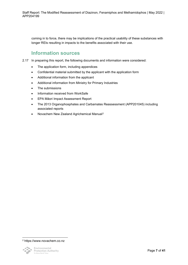coming in to force, there may be implications of the practical usability of these substances with longer REIs resulting in impacts to the benefits associated with their use.

## **Information sources**

- 2.17 In preparing this report, the following documents and information were considered:
	- The application form, including appendices
	- Confidential material submitted by the applicant with the application form
	- Additional information from the applicant
	- Additional information from Ministry for Primary Industries
	- The submissions
	- Information received from WorkSafe
	- EPA Māori Impact Assessment Report
	- The 2013 Organophosphates and Carbamates Reassessment (APP201045) including associated reports
	- Novachem New Zealand Agrichemical Manual[2](#page-7-0)

<span id="page-7-0"></span><sup>2</sup> https://www.novachem.co.nz

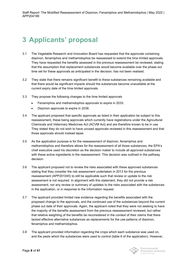# <span id="page-8-0"></span>**3 Applicants' proposal**

- 3.1 The Vegetable Research and Innovation Board has requested that the approvals containing diazinon, fenamiphos and methamidophos be reassessed to extend the time limited approvals. They have requested the benefits assessed in the previous reassessment be reviewed, stating that the assumption that replacement substances would become available over the phase out time set for these approvals as anticipated in the decision, has not been realised.
- 3.2 They state that there remains significant benefit to these substances remaining available and that there would be significant impacts should the substances become unavailable at the current expiry date of the time limited approvals.
- 3.3 They propose the following changes to the time limited approvals
	- Fenamiphos and methamidophos approvals to expire in 2033.
	- Diazinon approvals to expire in 2038.
- 3.4 The applicant proposed that specific approvals as listed in their application be subject to this reassessment, these being approvals which currently have registrations under the Agricultural Chemicals and Veterinary Medicines Act (ACVM Act) and are therefore known to be in use. They stated they do not wish to have unused approvals reviewed in this reassessment and that those approvals should instead lapse.
- 3.5 As the application purpose is for the reassessment of diazinon, fenamiphos and methamidophos and therefore allows for the reassessment of all those substances, the EPA's chief executive used his discretion as the decision maker to include all approved substances with these active ingredients in the reassessment. This decision was outlined in the pathway decision.
- 3.6 The applicant proposed not to review the risks associated with these approved substances stating that they consider the risk assessment undertaken in 2013 for the previous reassessment (APP201045) to still be applicable such that review or update to the risk assessment is not required. In alignment with this statement, they did not provide a risk assessment, nor any review or summary of updates to the risks associated with the substances in the application, or in response to the information request.
- 3.7 The applicant provided limited new evidence regarding the benefits associated with the proposed change to the approvals, and the continued use of the substances beyond the current phase out date of their approvals. Again, the applicant noted that they were not seeking to have the majority of the benefits assessment from the previous reassessment reviewed, but rather that relative weighting of the benefits be reconsidered in the context of their claims that there lacked effective alternative substances as replacements for the use patterns of diazinon, fenamiphos and methamidophos.
- 3.8 The applicant provided information regarding the crops which each substance was used on, and the pests which the substances were used to control (table 6 of the application). However,

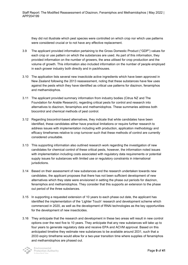they did not illustrate which pest species were controlled on which crop nor which use patterns were considered crucial or to not have any effective replacement.

- 3.9 The applicant provided information pertaining to the Gross Domestic Product ("GDP") values for each crop or use pattern on which the substances are used. As part of this information, they provided information on the number of growers, the area utilised for crop production and the volume of growth. This information also included information on the number of people employed in each grower industry both directly and in packhouses.
- 3.10 The application lists several new insecticide active ingredients which have been approved in New Zealand following the 2013 reassessment, noting that these substances have few uses against the pests which they have identified as critical use patterns for diazinon, fenamiphos and methamidophos.
- 3.11 The applicant provided summary information from industry bodies (Citrus NZ and The Foundation for Arable Research), regarding critical pests for control and research into alternatives to diazinon, fenamiphos and methamidophos. These summaries address both biocontrol and chemical methods of pest control.
- 3.12 Regarding biocontrol-based alternatives, they indicate that while candidates have been identified, these candidates either have practical limitations or require further research to address issues with implementation including with production, application methodology and efficacy timeframes relative to crop turnover such that these methods of control are currently considered unsuitable.
- 3.13 This supporting information also outlined research work regarding the investigation of new candidates for chemical control of these critical pests, however, the information noted issues with implementation including costs associated with regulatory data requirements or potential supply issues for substances with limited use or regulatory constraints in international jurisdictions.
- 3.14 Based on their assessment of new substances and the research undertaken towards new candidates, the applicant proposes that there has not been sufficient development of new alternatives which they state were envisioned in setting the phase out periods for diazinon, fenamiphos and methamidophos. They consider that this supports an extension to the phase out period of the three substances.
- 3.15 In supporting a requested extension of 10 years to each phase out date, the applicant has identified the implementation of the 'Lighter Touch' research and development scheme which commenced in 2020, as well as the development of RNAi technologies as the key opportunities for the development of new insecticides.
- 3.16 They anticipate that the research and development in these two areas will result in new control options over the next five to 10 years. They anticipate that any new substances will take up to four years to generate regulatory data and receive EPA and ACVM approval. Based on this anticipated timeline they estimate new substances to be available around 2031, such that a 2033 expiry timeframe would allow for a two-year transition time where supplies of fenamiphos and methamidophos are phased out.

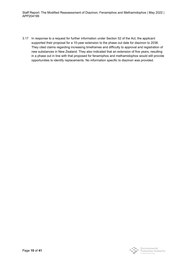Staff Report: The Modified Reassessment of Diazinon, Fenamiphos and Methamidophos | May 2022 | APP204199

3.17 In response to a request for further information under Section 52 of the Act, the applicant supported their proposal for a 10-year extension to the phase out date for diazinon to 2038. They cited claims regarding increasing timeframes and difficulty to approval and registration of new substances in New Zealand. They also indicated that an extension of five years, resulting in a phase out in line with that proposed for fenamiphos and methamidophos would still provide opportunities to identify replacements. No information specific to diazinon was provided.

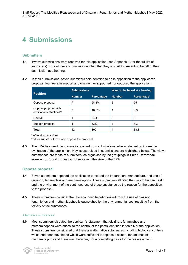## <span id="page-11-0"></span>**4 Submissions**

### **Submitters**

- 4.1 Twelve submissions were received for this application (see Appendix C for the full list of submitters). Four of these submitters identified that they wished to present on behalf of their submission at a hearing.
- 4.2 In their submissions, seven submitters self-identified to be in opposition to the applicant's proposal, four were in support and one neither supported nor opposed the application.

| <b>Position</b>                                   | <b>Submissions</b> |                   | Want to be heard at a hearing |             |
|---------------------------------------------------|--------------------|-------------------|-------------------------------|-------------|
|                                                   | <b>Number</b>      | <b>Percentage</b> | <b>Number</b>                 | Percentage* |
| Oppose proposal                                   |                    | 58.3%             | 3                             | 25          |
| Oppose proposal with<br>additional restrictions** | 2                  | 16.7%             |                               | 8.3         |
| Neutral                                           |                    | 8.3%              | 0                             | 0           |
| Support proposal                                  | 4                  | 33%               |                               | 8.3         |
| <b>Total</b>                                      | 12                 | 100               |                               | 33.3        |

\* of total submissions

\*\* As a subset of those who oppose the proposal

4.3 The EPA has used the information gained from submissions, where relevant, to inform the evaluation of the application. Key issues raised in submissions are highlighted below. The views summarised are those of submitters, as organised by the groupings in **Error! Reference source not found.**1; they do not represent the view of the EPA.

### **Oppose proposal**

- 4.4 Seven submitters opposed the application to extend the importation, manufacture, and use of diazinon, fenamiphos and methamidophos. These submitters all cited the risks to human health and the environment of the continued use of these substance as the reason for the opposition to the proposal.
- 4.5 These submitters consider that the economic benefit derived from the use of diazinon, fenamiphos and methamidophos is outweighed by the environmental cost resulting from the toxicity of the substances.

#### Alternative substances:

4.6 Most submitters disputed the applicant's statement that diazinon, fenamiphos and methamidophos were critical to the control of the pests identified in table 6 of the application. These submitters considered that there are alternative substances including biological controls which had been developed which were sufficient to replace diazinon, fenamiphos or methamidophos and there was therefore, not a compelling basis for the reassessment.

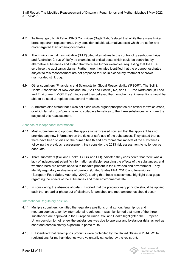- 4.7 Te Runanga o Ngāi Tahu HSNO Committee ("Ngāi Tahu") stated that while there were limited broad spectrum replacements, they consider suitable alternatives exist which are softer and more targeted than organophosphates.
- 4.8 The Environmental Law Initiative ("ELI") cited alternatives to the control of greenhouse thrips and Australian Citrus Whitefly as examples of critical pests which could be controlled by alternative substances and stated that there are further examples, requesting that the EPA scrutinise the applicant's claims. Furthermore, they also identified that the organophosphates subject to this reassessment are not proposed for use in biosecurity treatment of brown marmorated stink bug.
- 4.9 Other submitters (Physicians and Scientists for Global Responsibility ("PSGR"), The Soil & Health Association of New Zealand Inc ("Soil and Health") NZ, and GE Free Northland (in Food and Environment) ("GE Free")) indicated they believed that non-chemical interventions would be able to be used to replace pest control methods.
- 4.10 Submitters also stated that it was not clear which organophosphates are critical for which crops, or which target crops/ pests have no suitable alternatives to the three substances which are the subject of this reassessment.

#### Absence of independent information:

- 4.11 Most submitters who opposed the application expressed concern that the applicant has not provided any new information on the risks or safe use of the substances. They stated that as there have been studies on the human health and environmental impacts of the substances following the previous reassessment, they consider the 2013 risk assessment to no longer be adequate.
- 4.12 Three submitters (Soil and Health, PSGR and ELI) indicated they considered that there was a lack of independent scientific information available regarding the effects of the substances, and whether there are effects specific to the taxa present in the New Zealand environment. They identify regulatory evaluations of diazinon (United States EPA, 2017) and fenamiphos (European Food Safety Authority, 2019), stating that these assessments highlight data gaps regarding the effects of the substances and their environmental fate.
- 4.13 In considering the absence of data ELI stated that the precautionary principle should be applied such that an earlier phase out of diazinon, fenamiphos and methamidophos should occur.

#### International Regulatory position:

- 4.14 Multiple submitters identified the regulatory positions on diazinon, fenamiphos and methamidophos taken by international regulators. It was highlighted that none of the three substances are approved in the European Union. Soil and Health highlighted the European Union decision to not renew the substances was due to operator and bystander risks as well as short and chronic dietary exposure in pome fruits.
- 4.15 ELI identified that fenamiphos products were prohibited by the United States in 2014. While registrations for methamidophos were voluntarily cancelled by the registrant.

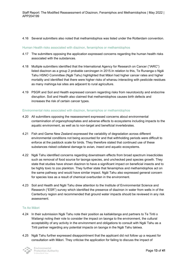#### 4.16 Several submitters also noted that methamidophos was listed under the Rotterdam convention.

#### Human Health risks associated with diazinon, fenamiphos or methamidophos

- 4.17 The submitters opposing the application expressed concerns regarding the human health risks associated with the substances.
- 4.18 Multiple submitters identified that the International Agency for Research on Cancer ("IARC") listed diazinon as a group 2 probable carcinogen in 2015.In relation to this, Te Runanga o Ngāi Tahu HSNO Committee (Ngāi Tahu) highlighted that Māori had higher cancer rates and higher mortality and identified that there were higher risks of whanau interacting with pesticide residues as many mahinga kai sites are adjacent to rural agriculture.
- 4.19 PSGR and Soil and Health expressed concern regarding risks from neurotoxicity and endocrine disruption. Soil and Health also claimed that methamidophos causes birth defects and increases the risk of certain cancer types.

#### Environmental risks associated with diazinon, fenamiphos or methamidophos

- 4.20 All submitters opposing the reassessment expressed concerns about environmental contamination of organophosphates and adverse effects to ecosystems including impacts to the aquatic environment, as well as to non-target and beneficial invertebrates.
- 4.21 Fish and Game New Zealand expressed the variability of degradation across different environmental conditions not being accounted for and that withholding periods were difficult to enforce at the paddock scale for birds. They therefore stated that continued use of these substances risked collateral damage to avian, insect and aquatic ecosystems.
- 4.22 Ngāi Tahu identified concerns regarding downstream effects from broad spectrum insecticides such as removal of food source for taonga species, and unchecked pest species growth. They state that studies have shown diazinon to have a significant impact on beneficial insects and to be highly toxic to zoo plankton. They further state that fenamiphos and methamidophos act on the same pathway and would have similar impact. Ngāi Tahu also expressed general concern for species loss as a result of chemical overburden in the environment.
- 4.23 Soil and Health and Ngāi Tahu drew attention to the Institute of Environmental Science and Research ("ESR") survey which identified the presence of diazinon in water from wells in of the Canterbury region and recommended that ground water impacts should be reviewed in any risk assessment.

#### Te Ao Māori

- 4.24 In their submission Ngāi Tahu note their position as kaitiakitanga and partners to Te Tiriti o Waitangi noting their role to consider the impact on taonga to the environment, the cultural acceptability of any activity in the environment and obligations to consult with Ngāi Tahu as a Tiriti partner regarding any potential impacts on taonga in the Ngāi Tahu takiwa.
- 4.25 Ngāi Tahu further expressed disappointment that the applicant did not follow up a request for consultation with Māori. They criticise the application for failing to discuss the impact of

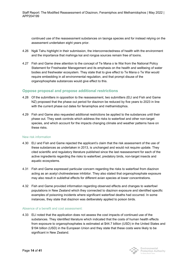continued use of the reassessment substances on taonga species and for instead relying on the assessment undertaken eight years prior.

- 4.26 Ngāi Tahu highlight in their submission, the interconnectedness of health with the environment and the importance that mahinga kai and rongoa sources remain free of toxins.
- 4.27 Fish and Game drew attention to the concept of Te Mana o te Wai from the National Policy Statement for Freshwater Management and its emphasis on the health and wellbeing of water bodies and freshwater ecosystem. They state that to give effect to Te Mana o Te Wai would require embedding in all environmental regulation, and that prompt disuse of the organophosphate substances would give effect to this.

### **Oppose proposal and propose additional restrictions**

- 4.28 Of the submitters in opposition to the reassessment, two submitters (ELI and Fish and Game NZ) proposed that the phase out period for diazinon be reduced by five years to 2023 in line with the current phase out dates for fenamiphos and methamidophos.
- 4.29 Fish and Game also requested additional restrictions be applied to the substances until their phase out. They seek controls which address the risks to waterfowl and other non-target species, and which account for the impacts changing climate and weather patterns have on these risks.

#### New risk information

- 4.30 ELI and Fish and Game rejected the applicant's claim that the risk assessment of the use of these substances as undertaken in 2013, is unchanged and would not require update. They cited scientific and regulatory literature published since the last reassessment for each of the active ingredients regarding the risks to waterfowl, predatory birds, non-target insects and aquatic ecosystems.
- 4.31 Fish and Game expressed particular concern regarding the risks to waterfowl from diazinon acting as an acetyl cholinesterase inhibitor. They also stated that organophosphate exposure may also result in sublethal effects for different avian species at lower concentrations.
- 4.32 Fish and Game provided information regarding observed effects and changes to waterfowl populations in New Zealand which they connected to diazinon exposure and identified specific examples of poisoning incidents where significant waterfowl deaths had occurred. In some instances, they state that diazinon was deliberately applied to poison birds.

#### Absence of a benefit and cost assessment:

4.33 ELI noted that the application does not assess the cost impacts of continued use of the substances. They identified literature which indicated that the costs of human health effects from exposure to organophosphates is estimated at \$44.7 billion (USD) in the United States and \$194 billion (USD) in the European Union and they state that these costs were likely to be significant in New Zealand.

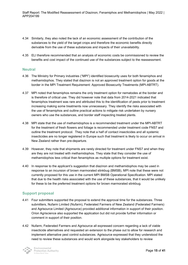- 4.34 Similarly, they also noted the lack of an economic assessment of the contribution of the substances to the yield of the target crops and therefore the economic benefits directly derivable from the use of these substances and impacts of their unavailability.
- 4.35 ELI therefore recommended that an analysis of economic costs be commissioned to review the benefits and cost impact of the continued use of the substances subject to the reassessment.

#### **Neutral**

- 4.36 The Ministry for Primary industries ("MPI") identified biosecurity uses for both fenamiphos and methamidophos. They stated that diazinon is not an approved treatment option for goods at the border in the MPI Treatment Requirement: Approved Biosecurity Treatments (MPI-ABTRT).
- 4.37 MPI noted that fenamiphos remains the only treatment option for nematodes at the border and is therefore of critical use. They did however note that data from 2014-2021 indicated that fenamiphos treatment was rare and attributed this to the identification of pests prior to treatment increasing making some treatments now unnecessary. They identify the risks associated with the use of fenamiphos and outline practical actions to mitigate risk undertaken by nursery owners who use the substances, and border staff inspecting treated plants.
- 4.38 MPI state that the use of methamidophos is a recommended treatment under the MPI-ABTRT for the treatment of fresh flowers and foliage is recommended under treatment code FNS7 and outline the treatment protocol. They note that a half of contact insecticides and all systemic insecticides are no longer registered in Europe such that treatment is likely to occur on arrival in New Zealand rather than pre-departure.
- 4.39 However, they note that shipments are rarely directed for treatment under FNS7 and when they are they are not treated with methamidophos. They state that they consider the use of methamidophos less critical than fenamiphos as multiple options for treatment exist.
- 4.40 In response to the applicant's suggestion that diazinon and methamidophos may be used in response to an incursion of brown marmorated stinkbug (BMSB), MPI note that these were not currently proposed for this use in the current MPI BMSB Operational Specification. MPI stated that due to the health risks associated with the use of these substances, that it would be unlikely for these to be the preferred treatment options for brown marmorated stinkbug.

### **Support proposal**

- 4.41 Four submitters supported the proposal to extend the approval time for the substances. Three submitters, Nufarm Limited (Nufarm), Federated Farmers of New Zealand (Federated Farmers) and Agrisource Limited (Agrisource) provided additional information in support of their position. Orion Agriscience also supported the application but did not provide further information or comment in support of their position.
- 4.42 Nufarm, Federated Farmers and Agrisource all expressed concern regarding a lack of viable insecticide alternatives and requested an extension to the phase out to allow for research and implement alternative pest control substances. Agrisource expressed that they understood the need to review these substances and would work alongside key stakeholders to review

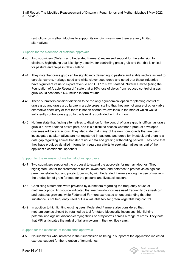restrictions on methamidophos to support its ongoing use where there are very limited alternatives.

#### Support for the extension of diazinon approvals.

- 4.43 Two submitters (Nufarm and Federated Farmers) expressed support for the extension for diazinon, highlighting that it is highly effective for controlling grass grub and that this is critical for pasture and crops in New Zealand.
- 4.44 They note that grass grub can be significantly damaging to pasture and arable sectors as well to cereals, carrots, herbage seed and white clover seed crops and noted that these industries have significant value to export revenue and GDP to New Zealand. Nufarm Limited (citing the Foundation of Arable Research) state that a 10% loss of yields from reduced control of grass grub would cost about \$32 million in farm returns.
- 4.45 These submitters consider diazinon to be the only agrichemical option for planting control of grass grub and grass grub larvae in arable crops, stating that they are not aware of other viable alternative chemistry or that there is not an alternative available in the market which would sufficiently control grass grub to the level it is controlled with diazinon.
- 4.46 Nufarm state that finding alternatives to diazinon for the control of grass grub is difficult as grass grub is a New Zealand native pest, and it is difficult to assess whether a product developed overseas will be efficacious. They also state that many of the new compounds that are being investigated as alternatives are not registered in pastures and crops for livestock and there is a data gap regarding animal transfer residue data and grazing withholding periods. They note that they have provided detailed information regarding efforts to seek alternatives as part of the applicant's confidential appendix.

#### Support for the extension of methamidophos approvals.

- 4.47 Two submitters supported the proposal to extend the approvals for methamidophos. They highlighted use for the treatment of maize, sweetcorn, and potatoes to protect yields against green vegetable bug and potato tuber moth, with Federated Farmers noting the use of maize in the production of grain for feed for the pastural and livestock sectors.
- 4.48 Conflicting statements were provided by submitters regarding the frequency of use of methamidophos. Agrisource indicated that methamidophos was used frequently by sweetcorn and potatoes growers, while Federated Farmers expressed an understanding that the substance is not frequently used but is a valuable tool for green vegetable bug control.
- 4.49 In addition to highlighting existing uses, Federated Farmers also considered that methamidophos should be retained as tool for future biosecurity incursions, highlighting potential use against disease-carrying thrips or armyworms across a range of crops. They note that MPI anticipates the arrival of fall armyworm in the next five years.

#### Support for the extension of fenamiphos approvals

4.50 No submitters who indicated in their submission as being in support of the application indicated express support for the retention of fenamiphos.



Environmental Protection Authority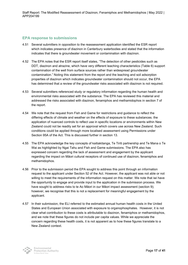Staff Report: The Modified Reassessment of Diazinon, Fenamiphos and Methamidophos | May 2022 | APP204199

### **EPA response to submissions**

- 4.51 Several submitters in opposition to the reassessment application identified the ESR report which indicates presence of diazinon in Canterbury waterbodies and stated that the information indicates that there is groundwater movement or contamination with diazinon.
- 4.52 The EPA notes that the ESR report itself states, "The detection of other pesticides such as DDT, diazinon and atrazine, which have very different leaching characteristics (Table 6) support contamination of the well from surface sources rather than widespread groundwater contamination." Noting this statement from the report and the leaching and soil adsorption properties of diazinon which indicates groundwater contamination should not occur, the EPA has determined that a review of the groundwater risks associated with diazinon is not required.
- 4.53 Several submitters referenced study or regulatory information regarding the human health and environmental risks associated with the substance. The EPA has reviewed this material and addressed the risks associated with diazinon, fenamiphos and methamidophos in section 7 of the report.
- 4.54 We note that the request from Fish and Game for restrictions and guidance to reflect the differing effects of climate and weather on the effects of exposure to these substances. the application of nuanced controls to reflect use in specific locations or environments within New Zealand could not be readily set for an approval which covers use across New Zealand. Such conditions could be applied through more localised assessment using Permissions under Section 95A of the Act. This is discussed further in section 13.
- 4.55 The EPA acknowledge the key concepts of kaitiakitanga, Te Tiriti partnership and Te Mana o Te Wai as highlighted by Ngai Tahu and Fish and Game submissions. The EPA also has expressed concern regarding the lack of assessment and engagement by the applicant regarding the impact on Māori cultural receptors of continued use of diazinon, fenamiphos and methamidophos.
- 4.56 Prior to the submission period the EPA sought to address this point through an information request to the applicant under Section 52 of the Act. However, the applicant was not able or not willing to meet the requirements of the information request on this matter. We note that iwi have the opportunity to engage and provide input to the application in the submission process. We have sought to address risks to te Ao Māori in our Māori impact assessment (section 9); however, we recognise that this is not a replacement for meaningful engagement by the applicant.
- 4.57 In their submission, the ELI referred to the estimated annual human health costs in the United States and European Union associated with exposure to organophosphates. However, it is not clear what contribution to these costs is attributable to diazinon, fenamiphos or methamidophos, and we note that these figures do not include per capita values. While we appreciate the concern regarding these health costs, it is not apparent as to how these figures translate to a New Zealand context.

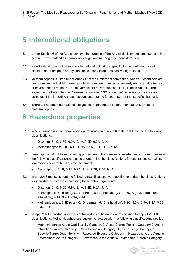# <span id="page-18-0"></span>**5 International obligations**

- 5.1 Under Section 6 of the Act, to achieve the purpose of the Act, all decision makers must take into account New Zealand's international obligations (among other considerations).
- 5.2 New Zealand does not have any international obligations specific to the continued use of diazinon or fenamiphos or any substances containing these active ingredients.
- 5.3 Methamidophos is listed under Annex III of the Rotterdam convention. Annex III chemicals are pesticides and industrial chemicals which have been banned or severely restricted due to health or environmental reasons. The movements of hazardous chemicals listed in Annex III are subject to the Prior Informed Consent procedure ("PIC procedure") where exports are only permitted if the importing state has consented to the future import of that specific chemical.
- 5.4 There are no other international obligations regarding the import, manufacture, or use of methamidophos.

## <span id="page-18-1"></span>**6 Hazardous properties**

- 6.1 When diazinon and methamidophos were transferred in 2006 to the Act they had the following classifications:
	- Diazinon: 6.1C, 6.8B, 6.9A, 9.1A, 9.2D, 9.3A, 9.4A
	- Methamidophos: 6.1B, 6.4A, 6.9A, 9.1A, 9.2B, 9.3A, 9.4A
- 6.2 Fenamiphos did not have its own approval during the transfer of substances to the Act, however the following classification was used to determine the classifications for substances containing fenamiphos prior to the 2013 reassessment:
	- Fenamiphos: 6.1B, 6.4A, 6.9A, 9.1A, 9.2B, 9.3A, 9.4A
- 6.3 In the 2013 reassessment the following classifications were applied to update the classifications for individual substances containing these active ingredients:
	- Diazinon: 6.1C, 6.8B, 6.9A, 9.1A, 9.2B, 9.3A, 9.4A
	- Fenamiphos: 6.1B (oral), 6.1B (dermal) 6.1C (inhalation), 6.4A, 6.9A (oral, dermal and inhalation), 9.1A, 9.2D, 9.3A, 9.4A
	- Methamidophos: 6.1B (oral), 6.1B (dermal), 6.1B (inhalation), 8.2C, 8.3A, 6.9A, 9.1A, 9.2B, 9.3A, 9.4
- 6.4 In April 2021 individual approvals of hazardous substances were reissued to apply the GHS classifications. Methamidophos was subject to reissue with the following classifications applied.
	- Methamidophos: Acute Oral Toxicity Category 2, Acute Dermal Toxicity Category 2, Acute Inhalation Toxicity Category 2, Skin Corrosion Category 1C, Serious Eye Damage 1, Specific Target Organ toxicity – Repeated Exposure Category 1, Hazardous to the Aquatic Environment Acute Category 1, Hazardous to the Aquatic Environment Chronic Category 2

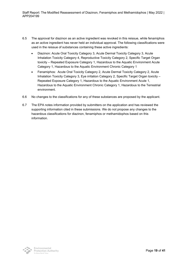- 6.5 The approval for diazinon as an active ingredient was revoked in this reissue, while fenamiphos as an active ingredient has never held an individual approval. The following classifications were used in the reissue of substances containing these active ingredients:
	- Diazinon: Acute Oral Toxicity Category 3, Acute Dermal Toxicity Category 3, Acute Inhalation Toxicity Category 4, Reproductive Toxicity Category 2, Specific Target Organ toxicity – Repeated Exposure Category 1, Hazardous to the Aquatic Environment Acute Category 1, Hazardous to the Aquatic Environment Chronic Category 1
	- Fenamiphos: Acute Oral Toxicity Category 2, Acute Dermal Toxicity Category 2, Acute Inhalation Toxicity Category 3, Eye irritation Category 2, Specific Target Organ toxicity – Repeated Exposure Category 1, Hazardous to the Aquatic Environment Acute 1, Hazardous to the Aquatic Environment Chronic Category 1, Hazardous to the Terrestrial environment.
- 6.6 No changes to the classifications for any of these substances are proposed by the applicant.
- 6.7 The EPA notes information provided by submitters on the application and has reviewed the supporting information cited in these submissions. We do not propose any changes to the hazardous classifications for diazinon, fenamiphos or methamidophos based on this information.

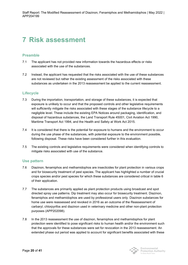## <span id="page-20-0"></span>**7 Risk assessment**

### **Preamble**

- 7.1 The applicant has not provided new information towards the hazardous effects or risks associated with the use of the substances.
- 7.2 Instead, the applicant has requested that the risks associated with the use of these substances are not reviewed but rather the existing assessment of the risks associated with these substances as undertaken in the 2013 reassessment be applied to the current reassessment.

### **Lifecycle**

- 7.3 During the importation, transportation, and storage of these substances, it is expected that exposure is unlikely to occur and that the proposed controls and other legislative requirements will sufficiently mitigate the risks associated with these stages of the substance lifecycle to a negligible level. These include the existing EPA Notices around packaging, identification, and disposal of hazardous substances, the Land Transport Rule 45001, Civil Aviation Act 1990, Maritime Transport Act 1994, and the Health and Safety at Work Act 2015.
- 7.4 It is considered that there is the potential for exposure to humans and the environment to occur during the use phase of the substances, with potential exposure to the environment possible, following disposal. These risks have been considered further in this evaluation.
- 7.5 The existing controls and legislative requirements were considered when identifying controls to mitigate risks associated with use of the substance.

### **Use pattern**

- 7.6 Diazinon, fenamiphos and methamidophos are insecticides for plant protection in various crops and for biosecurity treatment of pest species. The applicant has highlighted a number of crucial crops species and/or pest species for which these substances are considered critical in table 6 of their application.
- 7.7 The substances are primarily applied as plant protection products using broadcast and spot directed spray use patterns. Dip treatment may also occur for biosecurity treatment. Diazinon, fenamiphos and methamidophos are used by professional users only. Diazinon substances for home use were reassessed and revoked in 2016 as an outcome of the Reassessment of carbaryl, chlorpyrifos and diazinon used in veterinary medicine and other non-plant protection purposes (APP202098).
- 7.8 In the 2013 reassessment the use of diazinon, fenamiphos and methamidophos for plant protection were identified to pose significant risks to human health and/or the environment such that the approvals for these substances were set for revocation in the 2013 reassessment. An extended phase out period was applied to account for significant benefits associated with these

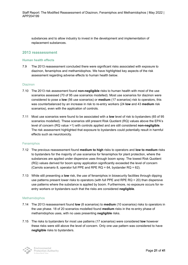substances and to allow industry to invest in the development and implementation of replacement substances.

#### **2013 reassessment**

#### **Human health effects**

7.9 The 2013 reassessment concluded there were significant risks associated with exposure to diazinon, fenamiphos and methamidophos. We have highlighted key aspects of the risk assessment regarding adverse effects to human health below.

#### Diazinon

- 7.10 The 2013 risk assessment found **non-negligible** risks to human health with most of the use scenarios assessed (70 of 95 use scenarios modelled). Most use scenarios for diazinon were considered to pose a **low** (56 use scenarios) or **medium** (17 scenarios) risk to operators, this was counterbalanced by an increase in risk to re-entry workers (24 **low** and 43 **medium** risk scenarios), even with the application of controls.
- 7.11 Most use scenarios were found to be associated with a **low** level of risk to bystanders (65 of 95 scenarios modelled). These scenarios still present Risk Quotient (RQ) values above the EPA's level of concern (RQ value >1) with controls applied and are still considered **non-negligible**. The risk assessment highlighted that exposure to bystanders could potentially result in harmful effects such as neurotoxicity.

#### Fenamiphos

- 7.12 The previous reassessment found **medium to high** risks to operators and **low to medium** risks to bystanders for the majority of use scenarios for fenamiphos for plant protection, where the substances are applied under dispersive uses through boom spray. The lowest Risk Quotient (RQ) values derived for boom spray application significantly exceeded the level of concern (Carrots scenario 8, operator full PPE and RPE RQ = 64, bystander RQ = 62).
- 7.13 While still presenting a **low** risk, the use of fenamiphos in biosecurity facilities through dipping use patterns present lower risks to operators (with full PPE and RPE  $RQ = 20$ ) than dispersive use patterns where the substance is applied by boom. Furthermore, no exposure occurs for reentry workers or bystanders such that the risks are considered **negligible**.

#### Methamidophos

- 7.14 The 2013 reassessment found **low** (8 scenarios) to **medium** (10 scenarios) risks to operators in the use phase. 18 of 20 scenarios modelled found **medium** risks in the re-entry phase of methamidophos uses, with no uses presenting **negligible** risks.
- 7.15 The risks to bystanders for most use patterns (17 scenarios) were considered **low** however these risks were still above the level of concern. Only one use pattern was considered to have **negligible** risks to bystanders.

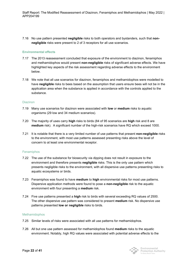7.16 No use pattern presented **negligible** risks to both operators and bystanders, such that **nonnegligible** risks were present to 2 of 3 receptors for all use scenarios.

#### **Environmental effects**

- 7.17 The 2013 reassessment concluded that exposure of the environment to diazinon, fenamiphos and methamidophos would present **non-negligible** risks of significant adverse effects. We have highlighted key aspects of the risk assessment regarding adverse effects to the environment below.
- 7.18 We note that all use scenarios for diazinon, fenamiphos and methamidophos were modelled to have **negligible** risks to bees based on the assumption that users ensure bees will not be in the application area when the substance is applied in accordance with the controls applied to the substance.

#### Diazinon

- 7.19 Many use scenarios for diazinon were associated with **low** or **medium** risks to aquatic organisms (29 low and 34 medium scenarios).
- 7.20 The majority of uses carry **high** risks to birds (84 of 95 scenarios are **high** risk and 8 are **medium** risk). A significant number of the high-risk scenarios have RQ which exceed 1000.
- 7.21 It is notable that there is a very limited number of use patterns that present **non-negligible** risks to the environment, with most use patterns assessed presenting risks above the level of concern to at least one environmental receptor.

#### Fenamiphos

- 7.22 The use of the substance for biosecurity via dipping does not result in exposure to the environment and therefore presents **negligible** risks. This is the only use pattern which presents negligible risks to the environment, with all dispersive use patterns presenting risks to aquatic ecosystems or birds.
- 7.23 Fenamiphos was found to have **medium** to **high** environmental risks for most use patterns. Dispersive application methods were found to pose a **non-negligible** risk to the aquatic environment with four presenting a **medium** risk.
- 7.24 Five use patterns presented a **high** risk to birds with several exceeding RQ values of 2500. The other dispersive use pattern was considered to present **medium** risk. No dispersive use patterns presented **low or negligible** risks to birds.

#### Methamidophos

- 7.25 Similar levels of risks were associated with all use patterns for methamidophos.
- 7.26 All but one use pattern assessed for methamidophos found **medium** risks to the aquatic environment. Notably, high RQ values were associated with potential adverse effects to the

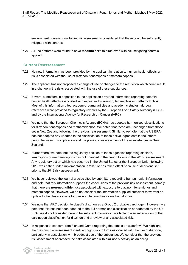environment however qualitative risk assessments considered that these could be sufficiently mitigated with controls.

7.27 All use patterns were found to have **medium** risks to birds even with risk mitigating controls applied.

### **Current Reassessment**

- 7.28 No new information has been provided by the applicant in relation to human health effects or risks associated with the use of diazinon, fenamiphos or methamidophos.
- 7.29 The applicant has not proposed a change of use or changes to the restriction which could result in a change in the risks associated with the use of these substances.
- 7.30 Several submitters in opposition to the application provided information regarding potential human health effects associated with exposure to diazinon, fenamiphos or methamidophos. Most of this information cited academic journal articles and academic studies, although references were provided to regulatory reviews by the European Food Safety Authority (EFSA) and by the International Agency for Research on Cancer (IARC).
- 7.31 We note that the European Chemicals Agency (ECHA) has adopted harmonised classifications for diazinon, fenamiphos and methamidophos. We noted that these are unchanged from those set in New Zealand following the previous reassessment. Similarly, we note that the US EPA has not adopted any updates to the classification of these active ingredients in the interim period between this application and the previous reassessment of these substances in New Zealand.
- 7.32 Furthermore, we note that the regulatory position of these agencies regarding diazinon, fenamiphos or methamidophos has not changed in the period following the 2013 reassessment. Any regulatory action which has occurred in the United States or the European Union following 2013 was either under implementation in 2013 or has taken effect because of decisions set prior to the 2013 risk assessment.
- 7.33 We have reviewed the journal articles cited by submitters regarding human health information and note that this information supports the conclusions of the previous risk assessment, namely that there are **non-negligible** risks associated with exposure to diazinon, fenamiphos and methamidophos. However, we do not consider the information supplied sufficient to warrant an update to the classifications for diazinon, fenamiphos or methamidophos.
- 7.34 We note the IARC decision to classify diazinon as a Group 2 probable carcinogen. However, we note that this has not been adopted to the EU harmonised classification nor adopted by the US EPA. We do not consider there to be sufficient information available to warrant adoption of the carcinogen classification for diazinon and a review of any associated risk.
- 7.35 In response to concern from Fish and Game regarding the effects on waterfowl. We highlight the previous risk assessment identified high risks to birds associated with the use of diazinon, particularly in association with broadcast use of the substance. We consider that the previous risk assessment addressed the risks associated with diazinon's activity as an acetyl

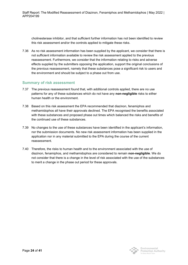cholinesterase inhibitor, and that sufficient further information has not been identified to review this risk assessment and/or the controls applied to mitigate these risks.

7.36 As no risk assessment information has been supplied by the applicant, we consider that there is not sufficient information available to review the risk assessment applied to the previous reassessment. Furthermore, we consider that the information relating to risks and adverse effects supplied by the submitters opposing the application, support the original conclusions of the previous reassessment, namely that these substances pose a significant risk to users and the environment and should be subject to a phase out from use.

### **Summary of risk assessment**

- 7.37 The previous reassessment found that, with additional controls applied, there are no use patterns for any of these substances which do not have any **non-negligible** risks to either human health or the environment.
- 7.38 Based on this risk assessment the EPA recommended that diazinon, fenamiphos and methamidophos all have their approvals declined. The EPA recognised the benefits associated with these substances and proposed phase out times which balanced the risks and benefits of the continued use of these substances.
- 7.39 No changes to the use of these substances have been identified in the applicant's information, nor the submission documents. No new risk assessment information has been supplied in the application nor in any material submitted to the EPA during the course of the current reassessment.
- 7.40 Therefore, the risks to human health and to the environment associated with the use of diazinon, fenamiphos, and methamidophos are considered to remain **non-negligible**. We do not consider that there is a change in the level of risk associated with the use of the substances to merit a change in the phase out period for these approvals.

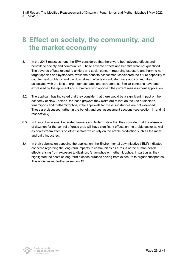## <span id="page-25-0"></span>**8 Effect on society, the community, and the market economy**

- 8.1 In the 2013 reassessment, the EPA considered that there were both adverse effects and benefits to society and communities. These adverse effects and benefits were not quantified. The adverse effects related to anxiety and social concern regarding exposure and harm to nontarget species and bystanders, while the benefits assessment considered the future capability to counter pest problems and the downstream effects on industry users and communities associated with the loss of organophosphates and carbamates. Similar concerns have been expressed by the applicant and submitters who opposed the current reassessment application.
- 8.2 The applicant has indicated that they consider that there would be a significant impact on the economy of New Zealand, for those growers they claim are reliant on the use of diazinon, fenamiphos and methamidophos, if the approvals for these substances are not extended. These are discussed further in the benefit and cost assessment sections (see section 11 and 12 respectively).
- 8.3 In their submissions, Federated farmers and Nufarm state that they consider that the absence of diazinon for the control of grass grub will have significant effects on the arable sector as well as downstream effects on other sectors which rely on the arable production such as the meat and dairy industries.
- 8.4 In their submission opposing the application, the Environmental Law Initiative ("ELI") indicated concerns regarding the long-term impacts to communities as a result of the human health effects arising from exposure to diazinon, fenamiphos or methamidophos, in particular, they highlighted the costs of long-term disease burdens arising from exposure to organophosphates. This is discussed further in section 12.

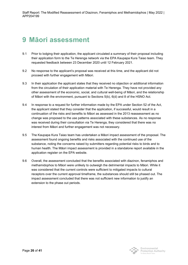## <span id="page-26-0"></span>**9 Māori assessment**

- 9.1 Prior to lodging their application, the applicant circulated a summary of their proposal including their application form to the Te Herenga network via the EPA Kaupapa Kura Taiao team. They requested feedback between 23 December 2020 until 12 February 2021.
- 9.2 No response to the applicant's proposal was received at this time, and the applicant did not proceed with further engagement with Māori.
- 9.3 In their application the applicant states that they received no objection or additional information from the circulation of their application material with Te Herenga. They have not provided any other assessment of the economic, social, and cultural well-being of Māori, and the relationship of Māori with the environment, pursuant to Sections 5(b), 6(d) and 8 of the HSNO Act.
- 9.4 In response to a request for further information made by the EPA under Section 52 of the Act, the applicant stated that they consider that the application, if successful, would result in a continuation of the risks and benefits to Māori as assessed in the 2013 reassessment as no change was proposed to the use patterns associated with these substances. As no response was received during their consultation via Te Herenga, they considered that there was no interest from Māori and further engagement was not necessary.
- 9.5 The Kaupapa Kura Taiao team has undertaken a Māori impact assessment of the proposal. The assessment found ongoing benefits and risks associated with the continued use of the substance, noting the concerns raised by submitters regarding potential risks to birds and to human health. The Māori impact assessment is provided in a standalone report available in the application register on the EPA website.
- 9.6 Overall, the assessment concluded that the benefits associated with diazinon, fenamiphos and methamidophos to Māori were unlikely to outweigh the detrimental impacts to Māori. While it was considered that the current controls were sufficient to mitigated impacts to cultural receptors over the current approval timeframe, the substances should still be phased out. The impact assessment concluded that there was not sufficient new information to justify an extension to the phase out periods.

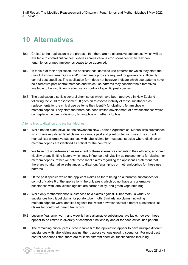## <span id="page-27-0"></span>**10 Alternatives**

- 10.1 Critical to the application is the proposal that there are no alternative substances which will be available to control critical pest species across various crop scenarios when diazinon, fenamiphos or methamidophos cease to be approved.
- 10.2 In table 6 of their application, the applicant has identified use patterns for which they state the use of diazinon, fenamiphos and/or methamidophos are required for growers to sufficiently control pest specifies. The application form does not however indicate which use patterns have no alternative pest control methods and which use patterns they consider the alternatives available to be insufficiently effective for control of specific pest species.
- 10.3 The application also lists several chemistries which have been approved in New Zealand following the 2013 reassessment. It goes on to assess viability of these substances as replacements for the critical use patterns they identify for diazinon, fenamiphos or methamidophos. They state that there has been limited development of new substances which can replace the use of diazinon, fenamiphos or methamidophos.

#### Alternatives to diazinon and methamidophos

- 10.4 While not an exhaustive list, the Novachem New Zealand Agrichemical Manual lists substances which have registered label claims for various pest and plant protection uses. The current manual lists alternative substances with label claims for most pest species where diazinon or methamidophos are identified as critical for the control of.
- 10.5 We have not undertaken an assessment of these alternatives regarding their efficacy, economic viability or any limiting factors which may influence their viability as replacements for diazinon or methamidophos, rather we note these label claims regarding the applicant's statement that there are no alternative substances to diazinon, fenamiphos or methamidophos for these use patterns.
- 10.6 Of the pest species which the applicant claims as there being no alternative substances for control of (table 6 of the application), the only pests which do not have any alternative substances with label claims against are carrot rust fly, and green vegetable bug.
- 10.7 While only methamidophos substances held claims against 'Tuber moth', a variety of substances hold label claims for potato tuber moth. Similarly, no claims (including methamidophos) were identified against fruit worm however several different substances list claims for control of tomato fruit worm.
- 10.8 Lucerne flea, army worm and weevils have alternative substances available, however these appear to be limited in diversity of chemical functionality and/or for each critical use pattern.
- 10.9 The remaining critical pests listed in table 6 of the application appear to have multiple different substances with label claims against them, across various growing scenarios. For most pest control scenarios listed, there are multiple different chemical functionalities including

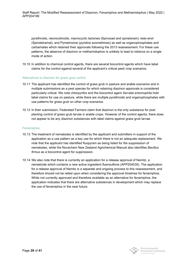pyrethroids, neonicotinoids, macrocyclic lactones (Spinosad and spinetoram), keto-enol (Spirotetramat), and Pymetrozine (pyridine azomethines) as well as organophosphates and carbamates which retained their approvals following the 2013 reassessment. For these use patterns, the absence of diazinon or methamidophos is unlikely to lead to reliance on a single mode of action.

10.10 In addition to chemical control agents, there are several biocontrol agents which have label claims for the control against several of the applicant's critical pest/ crop scenarios.

#### Alternatives to diazinon for grass grub control

- 10.11 The applicant has identified the control of grass grub in pasture and arable scenarios and in multiple submissions as a pest species for which retaining diazinon approvals is considered particularly critical. We note chlorpyrifos and the biocontrol agent *Serratia entomophila* hold label claims for use on pasture, while there are multiple pyrethroids and organophosphates with use patterns for grass grub on other crop scenarios.
- 10.12 In their submission, Federated Farmers claim that diazinon is the only substance for post planting control of grass grub larvae in arable crops. However of the control agents, there does not appear to be any diazinon substances with label claims against grass grub larvae.

#### Fenamiphos

- 10.13 The treatment of nematodes is identified by the applicant and submitters in support of the application as a use pattern as a key use for which there is not an adequate replacement. We note that the applicant has identified fluopyram as being listed for the suppression of nematodes, while the Novachem New Zealand Agrichemical Manual also identifies *Bacillus firmus* as a biocontrol agent for suppression.
- 10.14 We also note that there is currently an application for a release approval of Nemitz, a nematicide which contains a new active ingredient fluensulfone (APP204035). The application for a release approval of Nemitz is a separate and ongoing process to this reassessment, and therefore should not be relied upon when considering the approval timelines for fenamiphos. While not currently approved and therefore available as an alternative for fenamiphos, the application indicates that there are alternative substances in development which may replace the use of fenamiphos in the near future.

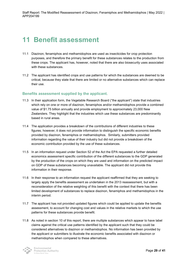## <span id="page-29-0"></span>**11 Benefit assessment**

- 11.1 Diazinon, fenamiphos and methamidophos are used as insecticides for crop protection purposes, and therefore the primary benefit for these substances relates to the production from these crops. The applicant has, however, noted that there are also biosecurity uses associated with these substances.
- 11.2 The applicant has identified crops and use patterns for which the substances are deemed to be critical, because they state that there are limited or no alternative substances which can replace their use.

### **Benefits assessment supplied by the applicant.**

- 11.3 In their application form, the Vegetable Research Board ("the applicant") state that industries which rely on one or more of diazinon, fenamiphos and/or methamidophos provide a combined value of \$1.75 billion annually and provide employment to approximately 23,000 New Zealanders. They highlight that the industries which use these substances are predominantly based in rural areas.
- 11.4 The application provides a breakdown of the contributions of different industries to these figures; however, it does not provide information to distinguish the specific economic benefits provided by diazinon, fenamiphos or methamidophos. Similarly, submitters provided information regarding the value of their industry but did not provide a breakdown of the economic contribution provided by the use of these substances.
- 11.5 In an information request under Section 52 of the Act the EPA requested a further detailed economics assessment specific contribution of the different substances to the GDP generated by the production of the crops on which they are used and information on the predicted impact on GDP of these substances becoming unavailable. The applicant did not provide this information in their response.
- 11.6 In their response to an information request the applicant reaffirmed that they are seeking to largely apply the benefits assessment as undertaken in the 2013 reassessment, but with a reconsideration of the relative weighting of this benefit with the context that there has been limited development of substances to replace diazinon, fenamiphos and methamidophos in the interim period.
- 11.7 The applicant has not provided updated figures which could be applied to update the benefits assessment, to account for changing cost and values in the relative markets to which the use patterns for these substances provide benefit.
- 11.8 As noted in section 10 of this report, there are multiple substances which appear to have label claims against the critical use patterns identified by the applicant such that they could be considered alternatives to diazinon or methamidophos. No information has been provided by the applicant or submitters to illustrate the economic benefits associated with diazinon or methamidophos when compared to these alternatives.

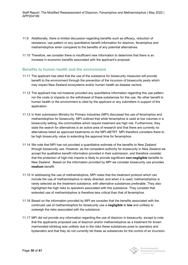- 11.9 Additionally, there is limited discussion regarding benefits such as efficacy, reduction of resistance, use pattern or any quantitative benefit information for diazinon, fenamiphos and methamidophos when compared to the benefits of any potential alternatives.
- 11.10 Therefore, we consider there is insufficient new information to determine that there is an increase in economic benefits associated with the applicant's proposal.

### **Benefits to human health and the environment**

- 11.11 The applicant has sited that the use of the substance for biosecurity measures will provide benefit to the environment through the prevention of the incursion of biosecurity pests which may impact New Zealand ecosystems and/or human health as disease vectors.
- 11.12 The applicant has not however provided any quantitative information regarding this use pattern nor the costs or impacts on the withdrawal of these substances for this use. No other benefit to human health or the environment is cited by the applicant or any submitters in support of the application.
- 11.13 In their submission Ministry for Primary Industries (MPI) discussed the use of fenamiphos and methamidophos for biosecurity. MPI outlined that while fenamiphos is used at low volumes in a biosecurity setting, the commodities which require treatment are high risk. Furthermore, they state the search for alternatives is an active area of research and that there are currently no alternatives listed as approved treatments on the MPI-ABTRT. MPI therefore considers there to be high biosecurity value to extending the approval time for fenamiphos.
- 11.14 We note that MPI has not provided a quantitative estimate of the benefits to New Zealand through biosecurity use. However, as the competent authority for biosecurity in New Zealand we accept the qualitative benefit information provided in their submission, and therefore consider that the protection of high-risk imports is likely to provide significant **non-negligible** benefits to New Zealand. Based on the information provided by MPI we consider biosecurity use provides **medium** benefit.
- 11.15 In addressing the use of methamidophos, MPI notes that the treatment protocol which can include the use of methamidophos is rarely directed, and when it is used, methamidophos is rarely selected as the treatment substance, with alternative substances preferable. They also highlighted the high risks to operators associated with this substance. They consider that extended use of methamidophos is therefore less critical than that of fenamiphos.
- 11.16 Based on the information provided by MPI we consider that the benefits associated with the continued use of methamidophos for biosecurity use a **negligible** to **low** and unlikely to outweigh the risks associated with the substance.
- 11.17 MPI did not provide any information regarding the use of diazinon in biosecurity, except to note that the applicants proposed use of diazinon and/or methamidophos as a treatment for brown marmorated stinkbug was unlikely due to the risks these substances pose to operators and bystanders and that they do not currently list these as substances for the control of an incursion.



Environmental **Protection Authority**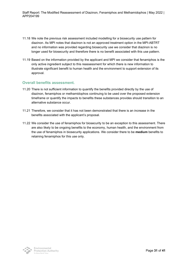Staff Report: The Modified Reassessment of Diazinon, Fenamiphos and Methamidophos | May 2022 | APP204199

- 11.18 We note the previous risk assessment included modelling for a biosecurity use pattern for diazinon. As MPI notes that diazinon is not an approved treatment option in the MPI-ABTRT and no information was provided regarding biosecurity use we consider that diazinon is no longer used for biosecurity and therefore there is no benefit associated with this use pattern.
- 11.19 Based on the information provided by the applicant and MPI we consider that fenamiphos is the only active ingredient subject to this reassessment for which there is new information to illustrate significant benefit to human health and the environment to support extension of its approval.

#### **Overall benefits assessment.**

- 11.20 There is not sufficient information to quantify the benefits provided directly by the use of diazinon, fenamiphos or methamidophos continuing to be used over the proposed extension timeframe or quantify the impacts to benefits these substances provides should transition to an alternative substance occur.
- 11.21 Therefore, we consider that it has not been demonstrated that there is an increase in the benefits associated with the applicant's proposal.
- 11.22 We consider the use of fenamiphos for biosecurity to be an exception to this assessment. There are also likely to be ongoing benefits to the economy, human health, and the environment from the use of fenamiphos in biosecurity applications. We consider there to be **medium** benefits to retaining fenamiphos for this use only.

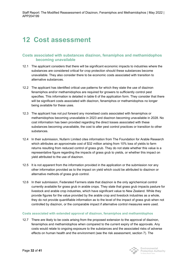## <span id="page-32-0"></span>**12 Cost assessment**

### **Costs associated with substances diazinon, fenamiphos and methamidophos becoming unavailable**

- 12.1 The applicant considers that there will be significant economic impacts to industries where the substances are considered critical for crop protection should these substances become unavailable. They also consider there to be economic costs associated with transition to alternative substances.
- 12.2 The applicant has identified critical use patterns for which they state the use of diazinon fenamiphos and/or methamidophos are required for growers to sufficiently control pest specifies. This information is detailed in table 6 of the application form. They consider that there will be significant costs associated with diazinon, fenamiphos or methamidophos no longer being available for these uses.
- 12.3 The applicant has not put forward any monetised costs associated with fenamiphos or methamidophos becoming unavailable in 2023 and diazinon becoming unavailable in 2028. No cost information has been provided regarding the direct losses associated with these substances becoming unavailable, the cost to alter pest control practices or transition to other substances.
- 12.4 In their submission, Nufarm Limited cites information from The Foundation for Arable Research which attributes an approximate cost of \$32 million arising from 10% loss of yields to farm returns resulting from reduced control of grass grub. They do not state whether this value is a representative figure regarding the impacts of grass grub to yields, or whether this impact on yield attributed to the use of diazinon.
- 12.5 It is not apparent from the information provided in the application or the submission nor any other information provided as to the impact on yield which could be attributed to diazinon or alternative methods of grass grub control.
- 12.6 In their submission, Federated Farmers state that diazinon is the only agrichemical control currently available for grass grub in arable crops. They state that grass grub impacts pasture for livestock and arable crop industries, which have significant value to New Zealand. While they provide figures for the value provided by the arable crop and livestock industries as a whole, they do not provide quantifiable information as to the level of the impact of grass grub when not controlled by diazinon, or the comparable impact if alternative control measures were used.

#### **Costs associated with extended approval of diazinon, fenamiphos and methamidophos**

12.7 There are likely to be costs arising from the proposed extension to the approval of diazinon, fenamiphos and methamidophos when compared to the current expiry of the approvals. Any costs would relate to ongoing exposure to the substances and the associated risks of adverse effects on human health and the environment (see the risk assessment, section 7). The



Environmental **Protection Authority**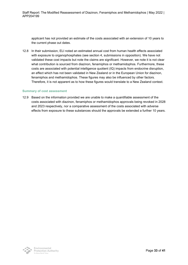applicant has not provided an estimate of the costs associated with an extension of 10 years to the current phase out dates.

12.8 In their submission, ELI noted an estimated annual cost from human health effects associated with exposure to organophosphates (see section 4, submissions in opposition). We have not validated these cost impacts but note the claims are significant. However, we note it is not clear what contribution is sourced from diazinon, fenamiphos or methamidophos. Furthermore, these costs are associated with potential intelligence quotient (IQ) impacts from endocrine disruption, an effect which has not been validated in New Zealand or in the European Union for diazinon, fenamiphos and methamidophos. These figures may also be influenced by other factors. Therefore, it is not apparent as to how these figures would translate to a New Zealand context.

#### **Summary of cost assessment**

12.9 Based on the information provided we are unable to make a quantifiable assessment of the costs associated with diazinon, fenamiphos or methamidophos approvals being revoked in 2028 and 2023 respectively, nor a comparative assessment of the costs associated with adverse effects from exposure to these substances should the approvals be extended a further 10 years.

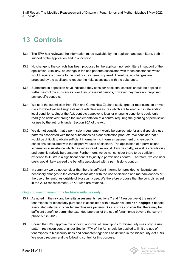# <span id="page-34-0"></span>**13 Controls**

- 13.1 The EPA has reviewed the information made available by the applicant and submitters, both in support of the application and in opposition.
- 13.2 No change to the controls has been proposed by the applicant nor submitters in support of the application. Similarly, no change in the use patterns associated with these substances which would require a change to the controls has been proposed. Therefore, no changes are proposed by the applicant to reduce the risks associated with the substance.
- 13.3 Submitters in opposition have indicated they consider additional controls should be applied to further restrict the substances over their phase out periods, however they have not proposed any specific controls.
- 13.4 We note the submission from Fish and Game New Zealand seeks greater restrictions to prevent risks to waterfowl and suggests more adaptive measures which are tailored to climate and/or local conditions. Under the Act, controls adaptive to local or changing conditions could only readily be achieved through the implementation of a control requiring the granting of permission for use by the authority under Section 95A of the Act.
- 13.5 We do not consider that a permission requirement would be appropriate for any dispersive use patterns associated with these substances as plant protection products. We consider that it would be difficult to obtain sufficient information to inform an assessment of site-specific conditions associated with the dispersive uses of diazinon. The application of a permissions scheme for a substance which has widespread use would likely be costly, as well as regulatorily and administratively burdensome. Furthermore, we do not consider there to be sufficient evidence to illustrate a significant benefit to justify a permissions control. Therefore, we consider costs would likely exceed the benefits associated with a permissions control.
- 13.6 In summary we do not consider that there is sufficient information provided to illustrate any necessary changes to the controls associated with the use of diazinon and methamidophos or the use of fenamiphos outside of biosecurity use. We therefore propose that the controls as set in the 2013 reassessment APP201045 are retained.

#### **Ongoing use of fenamiphos for biosecurity use only**

- 13.7 As noted in the risk and benefits assessments (sections 7 and 11 respectively) the use of fenamiphos for biosecurity purposes is associated with a lower risk and **non-negligible** benefit associated relative to other fenamiphos use patterns. As such, we consider that there may be sufficient benefit to permit the extended approval of the use of fenamiphos beyond the current phase out in 2023.
- 13.8 Should the DMC approve the ongoing approval of fenamiphos for biosecurity uses only, a use pattern restriction control under Section 77A of the Act should be applied to limit the use of fenamiphos to biosecurity uses and competent agencies as defined in the Biosecurity Act 1993. We would recommend the following control for this purpose:



Environmental **Protection Authority**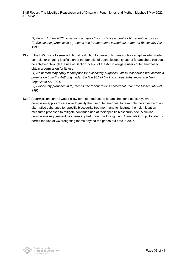*(1) From 01 June 2023 no person can apply the substance except for biosecurity purposes; (2) Biosecurity purposes in (1) means use for operations carried out under the Biosecurity Act 1993.*

13.9 If the DMC were to seek additional restriction to biosecurity uses such as adaptive site by site controls, or ongoing justification of the benefits of each biosecurity use of fenamiphos, this could be achieved through the use of Section 77A(2) of the Act to obligate users of fenamiphos to obtain a permission for its use:

*(1) No person may apply fenamiphos for biosecurity purposes unless that person first obtains a permission from the Authority under Section 95A of the Hazardous Substances and New Organisms Act 1996.*

*(2) Biosecurity purposes in (1) means use for operations carried out under the Biosecurity Act 1993.*

13.10 A permission control would allow for extended use of fenamiphos for biosecurity, where permission applicants are able to justify the use of fenamiphos, for example the absence of an alternative substance for specific biosecurity treatment, and to illustrate the risk mitigation measures proposed to mitigate continued use at their specific biosecurity site. A similar permissions requirement has been applied under the Firefighting Chemicals Group Standard to permit the use of C6 firefighting foams beyond the phase out date in 2025.

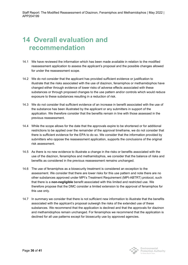## <span id="page-36-0"></span>**14 Overall evaluation and recommendation**

- 14.1 We have reviewed the information which has been made available in relation to the modified reassessment application to assess the applicant's proposal and the possible changes allowed for under the reassessment scope.
- 14.2 We do not consider that the applicant has provided sufficient evidence or justification to illustrate that the risks associated with the use of diazinon, fenamiphos or methamidophos have changed either through evidence of lower risks of adverse effects associated with these substances or through proposed changes to the use pattern and/or controls which would reduce exposure to these substances resulting in a reduction of risk.
- 14.3 We do not consider that sufficient evidence of an increase in benefit associated with the use of the substance has been illustrated by the applicant or any submitters in support of the application. We therefore consider that the benefits remain in line with those assessed in the previous reassessment.
- 14.4 While the scope allows for the date that the approvals expire to be shortened or for additional restrictions to be applied over the remainder of the approval timeframe, we do not consider that there is sufficient evidence for the EPA to do so. We consider that the information provided by submitters who oppose the reassessment application, supports the conclusions of the original risk assessment.
- 14.5 As there is no new evidence to illustrate a change in the risks or benefits associated with the use of the diazinon, fenamiphos and methamidophos, we consider that the balance of risks and benefits as considered in the previous reassessment remains unchanged.
- 14.6 The use of fenamiphos as a biosecurity treatment is considered an exception to the assessment. We consider that there are lower risks for this use pattern and note there are no other substances approved under MPI's Treatment Requirement (MPI-ABTRT) protocol, such that there is a **non-negligible** benefit associated with this limited and restricted use. We therefore propose that the DMC consider a limited extension to the approval of fenamiphos for this use only.
- 14.7 In summary we consider that there is not sufficient new information to illustrate that the benefits associated with the applicant's proposal outweigh the risks of the extended use of these substances. We recommend that the application is declined and that the approvals for diazinon and methamidophos remain unchanged. For fenamiphos we recommend that the application is declined for all use patterns except for biosecurity use by approved agencies.

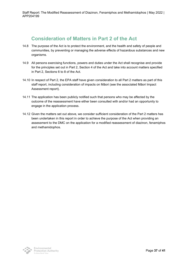## **Consideration of Matters in Part 2 of the Act**

- <span id="page-37-0"></span>14.8 The purpose of the Act is to protect the environment, and the health and safety of people and communities, by preventing or managing the adverse effects of hazardous substances and new organisms.
- 14.9 All persons exercising functions, powers and duties under the Act shall recognise and provide for the principles set out in Part 2, Section 4 of the Act and take into account matters specified in Part 2, Sections 6 to 8 of the Act.
- 14.10 In respect of Part 2, the EPA staff have given consideration to all Part 2 matters as part of this staff report, including consideration of impacts on Māori (see the associated Māori Impact Assessment report).
- 14.11 The application has been publicly notified such that persons who may be affected by the outcome of the reassessment have either been consulted with and/or had an opportunity to engage in the application process.
- 14.12 Given the matters set out above, we consider sufficient consideration of the Part 2 matters has been undertaken in this report in order to achieve the purpose of the Act when providing an assessment to the DMC on the application for a modified reassessment of diazinon, fenamiphos and methamidophos.

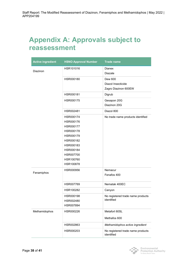## **Appendix A: Approvals subject to reassessment**

| <b>Active ingredient</b> | <b>HSNO Approval Number</b> | <b>Trade name</b>                               |  |
|--------------------------|-----------------------------|-------------------------------------------------|--|
| <b>Diazinon</b>          | HSR101016                   | <b>Dianex</b>                                   |  |
|                          |                             | Diazate                                         |  |
|                          | HSR000180                   | Dew 600                                         |  |
|                          |                             | Diazol Insecticide                              |  |
|                          |                             | Zagro Diazinon 600EW                            |  |
|                          | HSR000181                   | Digrub                                          |  |
|                          | HSR000175                   | Gesapon 20G                                     |  |
|                          |                             | Diazinon 20G                                    |  |
|                          | HSR002481                   | Diazol 800                                      |  |
|                          | HSR000174                   | No trade name products identified               |  |
|                          | HSR000176                   |                                                 |  |
|                          | HSR000177                   |                                                 |  |
|                          | HSR000178                   |                                                 |  |
|                          | HSR000179                   |                                                 |  |
|                          | HSR000182                   |                                                 |  |
|                          | HSR000183                   |                                                 |  |
|                          | HSR000184                   |                                                 |  |
|                          | HSR007700                   |                                                 |  |
|                          | HSR100760                   |                                                 |  |
|                          | HSR100878                   |                                                 |  |
| Fenamiphos               | HSR000956                   | Nemacur                                         |  |
|                          |                             | Fenafos 400                                     |  |
|                          | HSR007769                   | Nematak 400EC                                   |  |
|                          | HSR100282                   | Canyon                                          |  |
|                          | HSR000198                   | No registered trade name products               |  |
|                          | HSR002480                   | identified                                      |  |
|                          | HSR007894                   |                                                 |  |
| Methamidophos            | HSR000226                   | Metafort 60SL                                   |  |
|                          |                             | Methafos 600                                    |  |
|                          | HSR002863                   | Methamidophos active ingredient                 |  |
|                          | HSR000203                   | No registered trade name products<br>identified |  |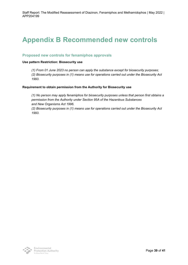## <span id="page-39-0"></span>**Appendix B Recommended new controls**

### **Proposed new controls for fenamiphos approvals**

#### **Use pattern Restriction: Biosecurity use**

*(1) From 01 June 2023 no person can apply the substance except for biosecurity purposes;*

*(2) Biosecurity purposes in (1) means use for operations carried out under the Biosecurity Act 1993.*

#### **Requirement to obtain permission from the Authority for Biosecurity use**

*(1) No person may apply fenamiphos for biosecurity purposes unless that person first obtains a permission from the Authority under Section 95A of the Hazardous Substances and New Organisms Act 1996.*

*(2) Biosecurity purposes in (1) means use for operations carried out under the Biosecurity Act 1993.*

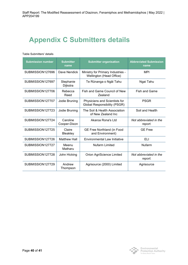## <span id="page-40-0"></span>**Appendix C Submitters details**

#### Table Submitters' details

| <b>Submission number</b> | <b>Submitter</b><br>name | <b>Submitter organisation</b>                                        | <b>Abbreviated Submission</b><br>name |
|--------------------------|--------------------------|----------------------------------------------------------------------|---------------------------------------|
| SUBMISSION127696         | Dave Nendick             | Ministry for Primary Industries -<br>Wellington (Head Office)        | <b>MPI</b>                            |
| SUBMISSION127697         | Stephanie<br>Dijkstra    | Te Rūnanga o Ngāi Tahu                                               | Ngai Tahu                             |
| SUBMISSION127706         | Rebecca<br>Reed          | Fish and Game Council of New<br>Zealand                              | <b>Fish and Game</b>                  |
| SUBMISSION127707         | Jodie Bruning            | Physicians and Scientists for<br><b>Global Responsibility (PSGR)</b> | <b>PSGR</b>                           |
| SUBMISSION127723         | Jodie Bruning            | The Soil & Health Association<br>of New Zealand Inc                  | Soil and Health                       |
| SUBMISSION127724         | Caroline<br>Cooper-Dixon | Akaroa Rona's Ltd                                                    | Not abbreviated in the<br>report.     |
| SUBMISSION127725         | Claire<br>Bleakley       | GE Free Northland (in Food<br>and Environment)                       | <b>GE Free</b>                        |
| SUBMISSION127726         | <b>Matthew Hall</b>      | <b>Environmental Law Initiative</b>                                  | ELI                                   |
| SUBMISSION127727         | Meenu<br>Matharu         | <b>Nufarm Limited</b>                                                | <b>Nufarm</b>                         |
| SUBMISSION127728         | John Hicking             | Orion AgriScience Limited                                            | Not abbreviated in the<br>report.     |
| SUBMISSION127729         | Andrew<br>Thompson       | Agrisource (2000) Limited                                            | Agrisource                            |